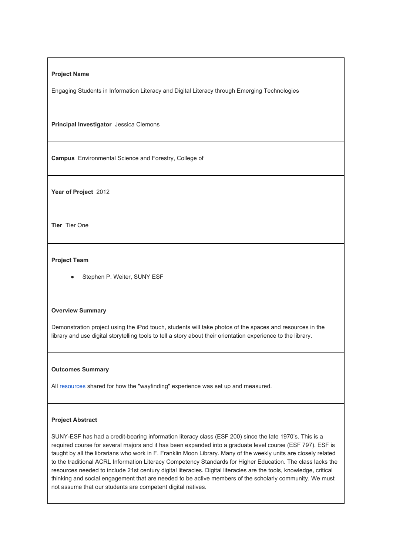## **Project Name**

Engaging Students in Information Literacy and Digital Literacy through Emerging Technologies

**Principal Investigator** Jessica Clemons

**Campus**Environmental Science and Forestry, College of

Year of Project 2012

**Tier** Tier One

# **Project Team**

• Stephen P. Weiter, SUNY ESF

## **Overview Summary**

Demonstration project using the iPod touch, students will take photos of the spaces and resources in the library and use digital storytelling tools to tell a story about their orientation experience to the library.

#### **Outcomes Summary**

All [resources](http://commons.suny.edu/iitg/engaging-students-in-information-literacy-and-digital-literacy-through-emerging-technologies/) shared for how the "wayfinding" experience was set up and measured.

# **Project Abstract**

SUNY-ESF has had a credit-bearing information literacy class (ESF 200) since the late 1970's. This is a required course for several majors and it has been expanded into a graduate level course (ESF 797). ESF is taught by all the librarians who work in F. Franklin Moon Library. Many of the weekly units are closely related to the traditional ACRL Information Literacy Competency Standards for Higher Education. The class lacks the resources needed to include 21st century digital literacies. Digital literacies are the tools, knowledge, critical thinking and social engagement that are needed to be active members of the scholarly community. We must not assume that our students are competent digital natives.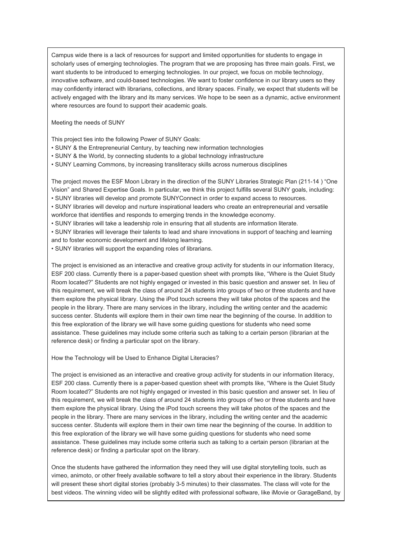Campus wide there is a lack of resources for support and limited opportunities for students to engage in scholarly uses of emerging technologies. The program that we are proposing has three main goals. First, we want students to be introduced to emerging technologies. In our project, we focus on mobile technology, innovative software, and could-based technologies. We want to foster confidence in our library users so they may confidently interact with librarians, collections, and library spaces. Finally, we expect that students will be actively engaged with the library and its many services. We hope to be seen as a dynamic, active environment where resources are found to support their academic goals.

Meeting the needs of SUNY

This project ties into the following Power of SUNY Goals:

- SUNY & the Entrepreneurial Century, by teaching new information technologies
- SUNY & the World, by connecting students to a global technology infrastructure
- SUNY Learning Commons, by increasing transliteracy skills across numerous disciplines

The project moves the ESF Moon Library in the direction of the SUNY Libraries Strategic Plan (21114 ) "One Vision" and Shared Expertise Goals. In particular, we think this project fulfills several SUNY goals, including:

• SUNY libraries will develop and promote SUNYConnect in order to expand access to resources.

• SUNY libraries will develop and nurture inspirational leaders who create an entrepreneurial and versatile workforce that identifies and responds to emerging trends in the knowledge economy.

• SUNY libraries will take a leadership role in ensuring that all students are information literate.

• SUNY libraries will leverage their talents to lead and share innovations in support of teaching and learning and to foster economic development and lifelong learning.

• SUNY libraries will support the expanding roles of librarians.

The project is envisioned as an interactive and creative group activity for students in our information literacy, ESF 200 class. Currently there is a paperbased question sheet with prompts like, "Where is the Quiet Study Room located?" Students are not highly engaged or invested in this basic question and answer set. In lieu of this requirement, we will break the class of around 24 students into groups of two or three students and have them explore the physical library. Using the iPod touch screens they will take photos of the spaces and the people in the library. There are many services in the library, including the writing center and the academic success center. Students will explore them in their own time near the beginning of the course. In addition to this free exploration of the library we will have some guiding questions for students who need some assistance. These guidelines may include some criteria such as talking to a certain person (librarian at the reference desk) or finding a particular spot on the library.

How the Technology will be Used to Enhance Digital Literacies?

The project is envisioned as an interactive and creative group activity for students in our information literacy, ESF 200 class. Currently there is a paper-based question sheet with prompts like, "Where is the Quiet Study Room located?" Students are not highly engaged or invested in this basic question and answer set. In lieu of this requirement, we will break the class of around 24 students into groups of two or three students and have them explore the physical library. Using the iPod touch screens they will take photos of the spaces and the people in the library. There are many services in the library, including the writing center and the academic success center. Students will explore them in their own time near the beginning of the course. In addition to this free exploration of the library we will have some guiding questions for students who need some assistance. These guidelines may include some criteria such as talking to a certain person (librarian at the reference desk) or finding a particular spot on the library.

Once the students have gathered the information they need they will use digital storytelling tools, such as vimeo, animoto, or other freely available software to tell a story about their experience in the library. Students will present these short digital stories (probably 3-5 minutes) to their classmates. The class will vote for the best videos. The winning video will be slightly edited with professional software, like iMovie or GarageBand, by